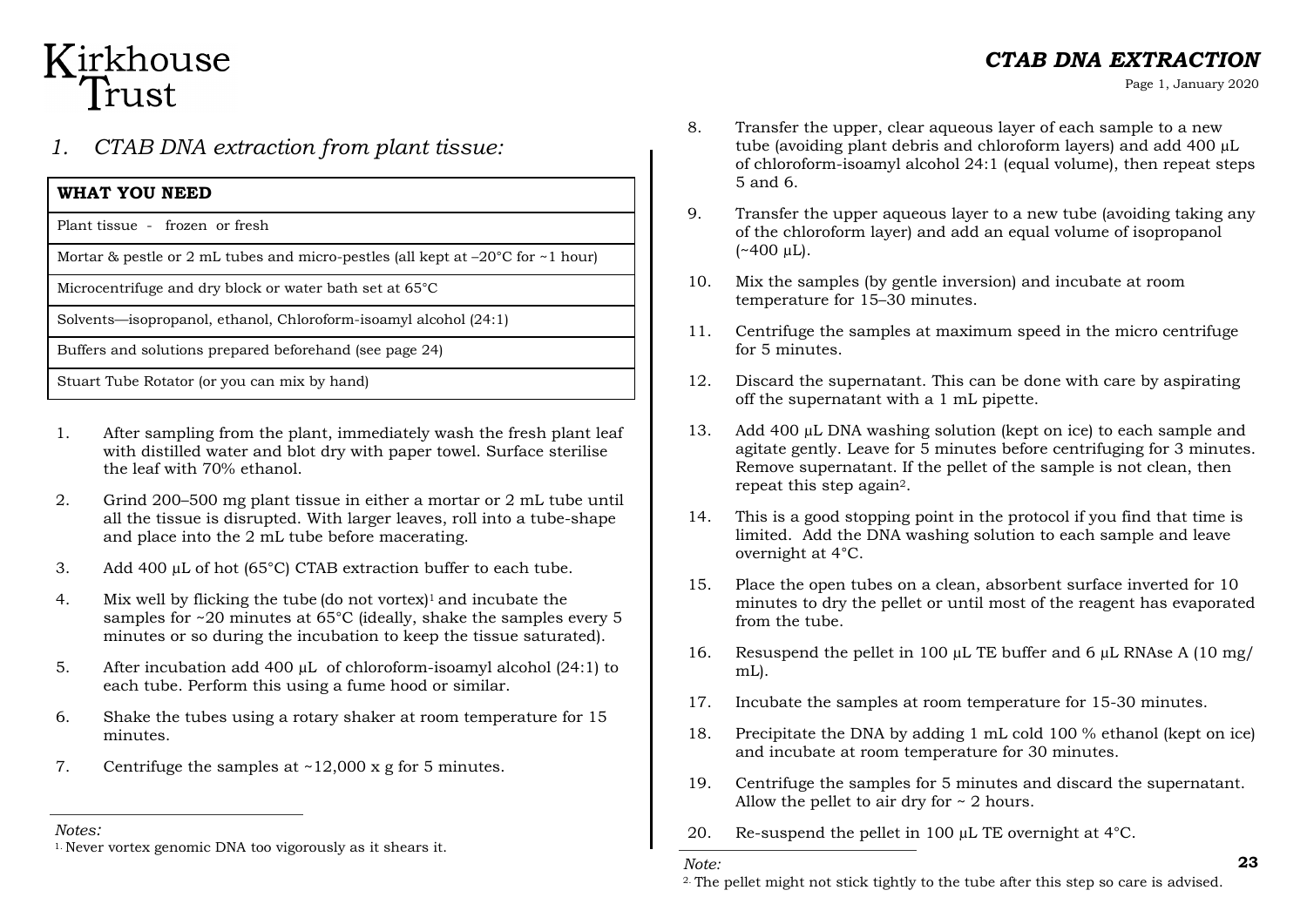## Kirkhouse Trust

### *1. CTAB DNA extraction from plant tissue:*

#### **WHAT YOU NEED**

Plant tissue - frozen or fresh

Mortar & pestle or 2 mL tubes and micro-pestles (all kept at  $-20^{\circ}$ C for  $\sim$  1 hour)

Microcentrifuge and dry block or water bath set at 65°C

Solvents—isopropanol, ethanol, Chloroform-isoamyl alcohol (24:1)

Buffers and solutions prepared beforehand (see page 24)

Stuart Tube Rotator (or you can mix by hand)

- 1. After sampling from the plant, immediately wash the fresh plant leaf with distilled water and blot dry with paper towel. Surface sterilise the leaf with 70% ethanol.
- 2. Grind 200–500 mg plant tissue in either a mortar or 2 mL tube until all the tissue is disrupted. With larger leaves, roll into a tube-shape and place into the 2 mL tube before macerating.
- 3. Add 400 µL of hot (65°C) CTAB extraction buffer to each tube.
- 4. Mix well by flicking the tube (do not vortex)1 and incubate the samples for ~20 minutes at 65°C (ideally, shake the samples every 5 minutes or so during the incubation to keep the tissue saturated).
- 5. After incubation add 400 µL of chloroform-isoamyl alcohol (24:1) to each tube. Perform this using a fume hood or similar.
- 6. Shake the tubes using a rotary shaker at room temperature for 15 minutes.
- 7. Centrifuge the samples at  $\sim$ 12,000 x g for 5 minutes.
- 8. Transfer the upper, clear aqueous layer of each sample to a new tube (avoiding plant debris and chloroform layers) and add 400 µL of chloroform-isoamyl alcohol 24:1 (equal volume), then repeat steps 5 and 6.
- 9. Transfer the upper aqueous layer to a new tube (avoiding taking any of the chloroform layer) and add an equal volume of isopropanol  $(*400 \mu L).$
- 10. Mix the samples (by gentle inversion) and incubate at room temperature for 15–30 minutes.
- 11. Centrifuge the samples at maximum speed in the micro centrifuge for 5 minutes.
- 12. Discard the supernatant. This can be done with care by aspirating off the supernatant with a 1 mL pipette.
- 13. Add 400 µL DNA washing solution (kept on ice) to each sample and agitate gently. Leave for 5 minutes before centrifuging for 3 minutes. Remove supernatant. If the pellet of the sample is not clean, then repeat this step again2.
- 14. This is a good stopping point in the protocol if you find that time is limited. Add the DNA washing solution to each sample and leave overnight at 4°C.
- 15. Place the open tubes on a clean, absorbent surface inverted for 10 minutes to dry the pellet or until most of the reagent has evaporated from the tube.
- 16. Resuspend the pellet in 100 µL TE buffer and 6 µL RNAse A (10 mg/ mL).
- 17. Incubate the samples at room temperature for 15-30 minutes.
- 18. Precipitate the DNA by adding 1 mL cold 100 % ethanol (kept on ice) and incubate at room temperature for 30 minutes.
- 19. Centrifuge the samples for 5 minutes and discard the supernatant. Allow the pellet to air dry for  $\sim$  2 hours.
- *Notes:* 20. Re-suspend the pellet in 100 µL TE overnight at 4°C.

Page 1, January 2020

<sup>&</sup>lt;sup>1.</sup> Never vortex genomic DNA too vigorously as it shears it.

<sup>&</sup>lt;sup>2</sup>. The pellet might not stick tightly to the tube after this step so care is advised.